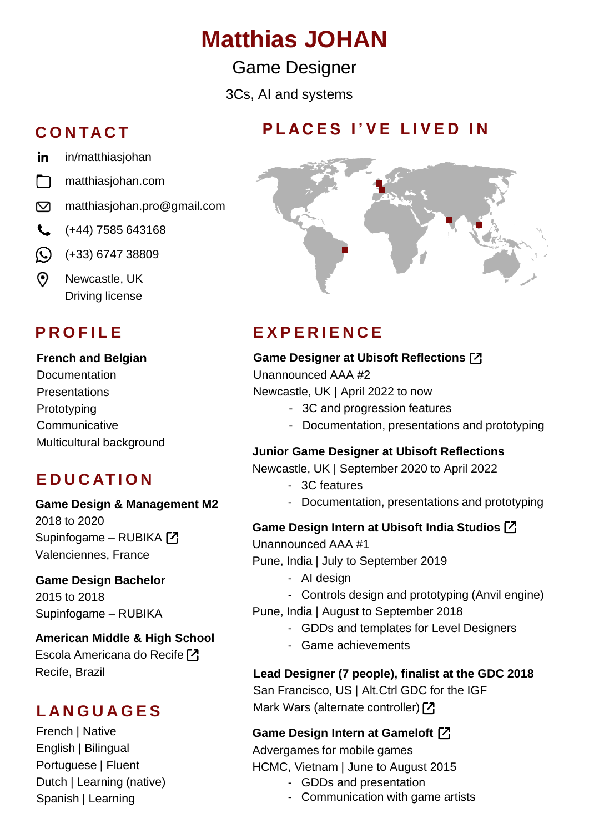# **Matthias JOHAN**

Game Designer

3Cs, AI and systems

### **C O N TA C T**

- in [in/matthiasjohan](https://www.linkedin.com/in/matthiasjohan/)
- m. [matthiasjohan.com](https://www.matthiasjohan.com/)
- $\mathbf{\nabla}$ [matthiasjohan.pro@gmail.com](mailto:matthiasjohan.pro@gmail.com)
- $\leftarrow$  (+44) 7585 643168
- $\odot$ (+33) 6747 38809
- $\odot$ Newcastle, UK Driving license

#### **French and Belgian**

**Documentation Presentations** Prototyping **Communicative** Multicultural background

### **E D U C AT I O N**

#### **Game Design & Management M2** 2018 to 2020 Supinfogame – RUBIKA

Valenciennes, France

#### **Game Design Bachelor** 2015 to 2018 Supinfogame – RUBIKA

**American Middle & High School** Escola Americana do Recife<sup>[7]</sup> Recife, Brazil

### **L A N G U A G E S**

French | Native English | Bilingual Portuguese | Fluent Dutch | Learning (native) Spanish | Learning

### **P L A C E S I ' V E L I V E D I N**



## **P R O F I L E E X P E R I E N C E**

#### **Game Designer at Ubisoft Reflections**

Unannounced AAA #2 Newcastle, UK | April 2022 to now

- 3C and progression features
- Documentation, presentations and prototyping

### **Junior Game Designer at Ubisoft Reflections**

Newcastle, UK | September 2020 to April 2022

- 3C features
- Documentation, presentations and prototyping

#### **Game Design Intern at Ubisoft India Studios**

Unannounced AAA #1

Pune, India | July to September 2019

- AI design
- Controls design and prototyping (Anvil engine)
- Pune, India | August to September 2018
	- GDDs and templates for Level Designers
	- Game achievements

### **Lead Designer (7 people), finalist at the GDC 2018**

San Francisco, US | Alt.Ctrl GDC for the IGF Mark Wars (alternate controller) [7]

### **Game Design Intern at Gameloft**

Advergames for mobile games HCMC, Vietnam | June to August 2015

- GDDs and presentation
- Communication with game artists